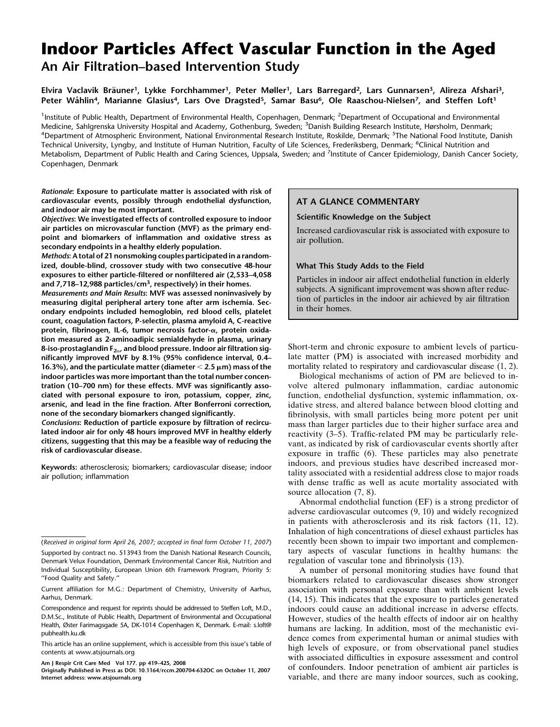# Indoor Particles Affect Vascular Function in the Aged An Air Filtration–based Intervention Study

# Elvira Vaclavik Bräuner<sup>1</sup>, Lykke Forchhammer<sup>1</sup>, Peter Møller<sup>1</sup>, Lars Barregard<sup>2</sup>, Lars Gunnarsen<sup>3</sup>, Alireza Afshari<sup>3</sup>, Peter Wåhlin<sup>4</sup>, Marianne Glasius<sup>4</sup>, Lars Ove Dragsted<sup>5</sup>, Samar Basu<sup>6</sup>, Ole Raaschou-Nielsen<sup>7</sup>, and Steffen Loft<sup>1</sup>

<sup>1</sup>Institute of Public Health, Department of Environmental Health, Copenhagen, Denmark; <sup>2</sup>Department of Occupational and Environmental Medicine, Sahlgrenska University Hospital and Academy, Gothenburg, Sweden; <sup>3</sup>Danish Building Research Institute, Hørsholm, Denmark;<br><sup>4</sup>Denartment of Atmospheric Environment, National Environmental Research Institute, Rosk Department of Atmospheric Environment, National Environmental Research Institute, Roskilde, Denmark; <sup>5</sup>The National Food Institute, Danish Technical University, Lyngby, and Institute of Human Nutrition, Faculty of Life Sciences, Frederiksberg, Denmark; <sup>6</sup>Clinical Nutrition and Metabolism, Department of Public Health and Caring Sciences, Uppsala, Sweden; and <sup>7</sup>Institute of Cancer Epidemiology, Danish Cancer Society, Copenhagen, Denmark

Rationale: Exposure to particulate matter is associated with risk of cardiovascular events, possibly through endothelial dysfunction, and indoor air may be most important.

Objectives: We investigated effects of controlled exposure to indoor air particles on microvascular function (MVF) as the primary endpoint and biomarkers of inflammation and oxidative stress as secondary endpoints in a healthy elderly population.

Methods: A total of 21 nonsmoking couples participated in a randomized, double-blind, crossover study with two consecutive 48-hour exposures to either particle-filtered or nonfiltered air (2,533–4,058 and 7,718–12,988 particles/cm<sup>3</sup>, respectively) in their homes.

Measurements and Main Results: MVF was assessed noninvasively by measuring digital peripheral artery tone after arm ischemia. Secondary endpoints included hemoglobin, red blood cells, platelet count, coagulation factors, P-selectin, plasma amyloid A, C-reactive protein, fibrinogen, IL-6, tumor necrosis factor-a, protein oxidation measured as 2-aminoadipic semialdehyde in plasma, urinary 8-iso-prostaglandin  $F_{2\alpha}$ , and blood pressure. Indoor air filtration significantly improved MVF by 8.1% (95% confidence interval, 0.4– 16.3%), and the particulate matter (diameter  $<$  2.5  $\mu$ m) mass of the indoor particles was more important than the total number concentration (10–700 nm) for these effects. MVF was significantly associated with personal exposure to iron, potassium, copper, zinc, arsenic, and lead in the fine fraction. After Bonferroni correction, none of the secondary biomarkers changed significantly.

Conclusions: Reduction of particle exposure by filtration of recirculated indoor air for only 48 hours improved MVF in healthy elderly citizens, suggesting that this may be a feasible way of reducing the risk of cardiovascular disease.

Keywords: atherosclerosis; biomarkers; cardiovascular disease; indoor air pollution; inflammation

# AT A GLANCE COMMENTARY

# Scientific Knowledge on the Subject

Increased cardiovascular risk is associated with exposure to air pollution.

# What This Study Adds to the Field

Particles in indoor air affect endothelial function in elderly subjects. A significant improvement was shown after reduction of particles in the indoor air achieved by air filtration in their homes.

Short-term and chronic exposure to ambient levels of particulate matter (PM) is associated with increased morbidity and mortality related to respiratory and cardiovascular disease (1, 2).

Biological mechanisms of action of PM are believed to involve altered pulmonary inflammation, cardiac autonomic function, endothelial dysfunction, systemic inflammation, oxidative stress, and altered balance between blood clotting and fibrinolysis, with small particles being more potent per unit mass than larger particles due to their higher surface area and reactivity (3–5). Traffic-related PM may be particularly relevant, as indicated by risk of cardiovascular events shortly after exposure in traffic (6). These particles may also penetrate indoors, and previous studies have described increased mortality associated with a residential address close to major roads with dense traffic as well as acute mortality associated with source allocation (7, 8).

Abnormal endothelial function (EF) is a strong predictor of adverse cardiovascular outcomes (9, 10) and widely recognized in patients with atherosclerosis and its risk factors (11, 12). Inhalation of high concentrations of diesel exhaust particles has recently been shown to impair two important and complementary aspects of vascular functions in healthy humans: the regulation of vascular tone and fibrinolysis (13).

A number of personal monitoring studies have found that biomarkers related to cardiovascular diseases show stronger association with personal exposure than with ambient levels (14, 15). This indicates that the exposure to particles generated indoors could cause an additional increase in adverse effects. However, studies of the health effects of indoor air on healthy humans are lacking. In addition, most of the mechanistic evidence comes from experimental human or animal studies with high levels of exposure, or from observational panel studies with associated difficulties in exposure assessment and control of confounders. Indoor penetration of ambient air particles is variable, and there are many indoor sources, such as cooking,

<sup>(</sup>Received in original form April 26, 2007; accepted in final form October 11, 2007) Supported by contract no. 513943 from the Danish National Research Councils, Denmark Velux Foundation, Denmark Environmental Cancer Risk, Nutrition and Individual Susceptibility, European Union 6th Framework Program, Priority 5: ''Food Quality and Safety.''

Current affiliation for M.G.: Department of Chemistry, University of Aarhus, Aarhus, Denmark.

Correspondence and request for reprints should be addressed to Steffen Loft, M.D., D.M.Sc., Institute of Public Health, Department of Environmental and Occupational Health, Øster Farimagsgade 5A, DK-1014 Copenhagen K, Denmark. E-mail: s.loft@ pubhealth.ku.dk

This article has an online supplement, which is accessible from this issue's table of contents at www.atsjournals.org

Am J Respir Crit Care Med Vol 177. pp 419–425, 2008

Originally Published in Press as DOI: 10.1164/rccm.200704-632OC on October 11, 2007 Internet address: www.atsjournals.org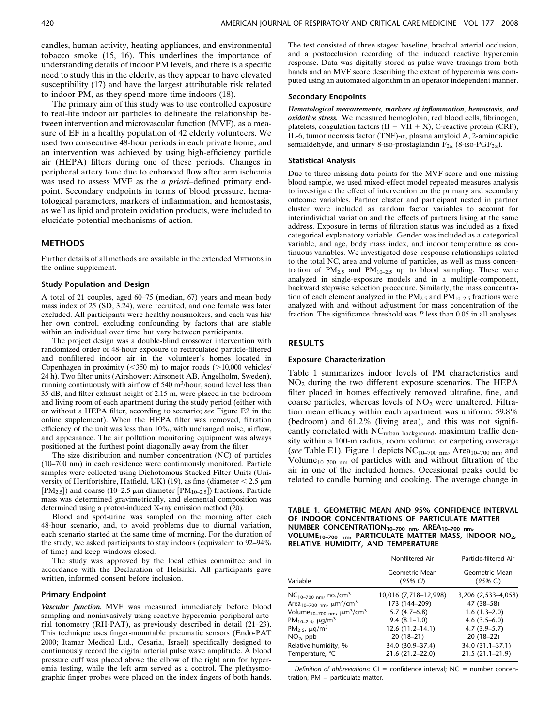candles, human activity, heating appliances, and environmental tobacco smoke (15, 16). This underlines the importance of understanding details of indoor PM levels, and there is a specific need to study this in the elderly, as they appear to have elevated susceptibility (17) and have the largest attributable risk related to indoor PM, as they spend more time indoors (18).

The primary aim of this study was to use controlled exposure to real-life indoor air particles to delineate the relationship between intervention and microvascular function (MVF), as a measure of EF in a healthy population of 42 elderly volunteers. We used two consecutive 48-hour periods in each private home, and an intervention was achieved by using high-efficiency particle air (HEPA) filters during one of these periods. Changes in peripheral artery tone due to enhanced flow after arm ischemia was used to assess MVF as the *a priori*-defined primary endpoint. Secondary endpoints in terms of blood pressure, hematological parameters, markers of inflammation, and hemostasis, as well as lipid and protein oxidation products, were included to elucidate potential mechanisms of action.

# **METHODS**

Further details of all methods are available in the extended METHODS in the online supplement.

## Study Population and Design

A total of 21 couples, aged 60–75 (median, 67) years and mean body mass index of 25 (SD, 3.24), were recruited, and one female was later excluded. All participants were healthy nonsmokers, and each was his/ her own control, excluding confounding by factors that are stable within an individual over time but vary between participants.

The project design was a double-blind crossover intervention with randomized order of 48-hour exposure to recirculated particle-filtered and nonfiltered indoor air in the volunteer's homes located in Copenhagen in proximity ( $\leq$ 350 m) to major roads ( $>$ 10,000 vehicles/ 24 h). Two filter units (Airshower; Airsonett AB, Ängelholm, Sweden), running continuously with airflow of  $540 \text{ m}^3$ /hour, sound level less than 35 dB, and filter exhaust height of 2.15 m, were placed in the bedroom and living room of each apartment during the study period (either with or without a HEPA filter, according to scenario; see Figure E2 in the online supplement). When the HEPA filter was removed, filtration efficiency of the unit was less than 10%, with unchanged noise, airflow, and appearance. The air pollution monitoring equipment was always positioned at the furthest point diagonally away from the filter.

The size distribution and number concentration (NC) of particles (10–700 nm) in each residence were continuously monitored. Particle samples were collected using Dichotomous Stacked Filter Units (University of Hertfortshire, Hatfield, UK) (19), as fine (diameter  $< 2.5 \mu m$ [PM<sub>2.5</sub>]) and coarse (10–2.5  $\mu$ m diameter [PM<sub>10–2.5</sub>]) fractions. Particle mass was determined gravimetrically, and elemental composition was determined using a proton-induced X-ray emission method (20).

Blood and spot-urine was sampled on the morning after each 48-hour scenario, and, to avoid problems due to diurnal variation, each scenario started at the same time of morning. For the duration of the study, we asked participants to stay indoors (equivalent to 92–94% of time) and keep windows closed.

The study was approved by the local ethics committee and in accordance with the Declaration of Helsinki. All participants gave written, informed consent before inclusion.

## Primary Endpoint

Vascular function. MVF was measured immediately before blood sampling and noninvasively using reactive hyperemia–peripheral arterial tonometry (RH-PAT), as previously described in detail (21–23). This technique uses finger-mountable pneumatic sensors (Endo-PAT 2000; Itamar Medical Ltd., Cesaria, Israel) specifically designed to continuously record the digital arterial pulse wave amplitude. A blood pressure cuff was placed above the elbow of the right arm for hyperemia testing, while the left arm served as a control. The plethysmographic finger probes were placed on the index fingers of both hands. The test consisted of three stages: baseline, brachial arterial occlusion, and a postocclusion recording of the induced reactive hyperemia response. Data was digitally stored as pulse wave tracings from both hands and an MVF score describing the extent of hyperemia was computed using an automated algorithm in an operator independent manner.

#### Secondary Endpoints

Hematological measurements, markers of inflammation, hemostasis, and oxidative stress. We measured hemoglobin, red blood cells, fibrinogen, platelets, coagulation factors  $(II + VII + X)$ , C-reactive protein (CRP), IL-6, tumor necrosis factor (TNF)- $\alpha$ , plasma amyloid A, 2-aminoapidic semialdehyde, and urinary 8-iso-prostaglandin  $F_{2\alpha}$  (8-iso-PGF<sub>2 $\alpha$ </sub>).

#### Statistical Analysis

Due to three missing data points for the MVF score and one missing blood sample, we used mixed-effect model repeated measures analysis to investigate the effect of intervention on the primary and secondary outcome variables. Partner cluster and participant nested in partner cluster were included as random factor variables to account for interindividual variation and the effects of partners living at the same address. Exposure in terms of filtration status was included as a fixed categorical explanatory variable. Gender was included as a categorical variable, and age, body mass index, and indoor temperature as continuous variables. We investigated dose–response relationships related to the total NC, area and volume of particles, as well as mass concentration of  $PM_{2.5}$  and  $PM_{10-2.5}$  up to blood sampling. These were analyzed in single-exposure models and in a multiple-component, backward stepwise selection procedure. Similarly, the mass concentration of each element analyzed in the  $PM_{2.5}$  and  $PM_{10-2.5}$  fractions were analyzed with and without adjustment for mass concentration of the fraction. The significance threshold was P less than 0.05 in all analyses.

#### RESULTS

#### Exposure Characterization

Table 1 summarizes indoor levels of PM characteristics and  $NO<sub>2</sub>$  during the two different exposure scenarios. The HEPA filter placed in homes effectively removed ultrafine, fine, and coarse particles, whereas levels of  $NO<sub>2</sub>$  were unaltered. Filtration mean efficacy within each apartment was uniform: 59.8% (bedroom) and 61.2% (living area), and this was not significantly correlated with NCurban background, maximum traffic density within a 100-m radius, room volume, or carpeting coverage (see Table E1). Figure 1 depicts  $NC_{10-700 \text{ nm}}$ , Area<sub>10-700 nm</sub>, and Volume<sub>10–700</sub> <sub>nm</sub> of particles with and without filtration of the air in one of the included homes. Occasional peaks could be related to candle burning and cooking. The average change in

TABLE 1. GEOMETRIC MEAN AND 95% CONFIDENCE INTERVAL OF INDOOR CONCENTRATIONS OF PARTICULATE MATTER NUMBER CONCENTRATION10–700 nm, AREA10–700 nm, VOLUME10–700 nm, PARTICULATE MATTER MASS, INDOOR NO2, RELATIVE HUMIDITY, AND TEMPERATURE

|                                                                | Nonfiltered Air           | Particle-filtered Air     |  |
|----------------------------------------------------------------|---------------------------|---------------------------|--|
| Variable                                                       | Geometric Mean<br>(95% C) | Geometric Mean<br>(95% C) |  |
| $NC_{10-700\;nm}$ , no./cm <sup>3</sup>                        | 10,016 (7,718-12,998)     | 3,206 (2,533-4,058)       |  |
| Area <sub>10–700 nm</sub> , µm <sup>2</sup> /cm <sup>3</sup>   | 173 (144-209)             | 47 (38-58)                |  |
| Volume <sub>10–700 nm</sub> , µm <sup>3</sup> /cm <sup>3</sup> | $5.7(4.7-6.8)$            | $1.6(1.3-2.0)$            |  |
| PM <sub>10-2.5</sub> , $\mu$ g/m <sup>3</sup>                  | $9.4(8.1-1.0)$            | $4.6(3.5-6.0)$            |  |
| PM <sub>2.5</sub> , $\mu q/m^3$                                | $12.6(11.2 - 14.1)$       | $4.7(3.9-5.7)$            |  |
| $NO2$ , ppb                                                    | $20(18-21)$               | $20(18-22)$               |  |
| Relative humidity, %                                           | 34.0 (30.9-37.4)          | 34.0 (31.1–37.1)          |  |
| Temperature, °C                                                | $21.6(21.2 - 22.0)$       | $21.5(21.1-21.9)$         |  |
|                                                                |                           |                           |  |

Definition of abbreviations:  $CI =$  confidence interval; NC = number concentration;  $PM =$  particulate matter.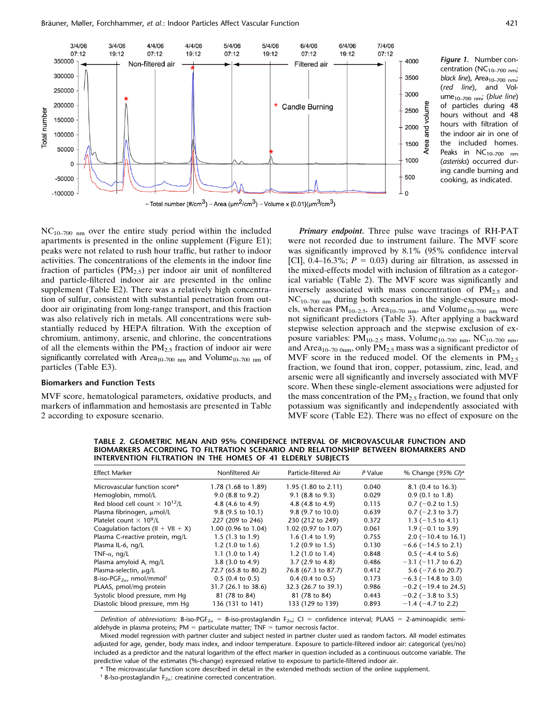

Figure 1. Number concentration ( $NC_{10-700\ nm}$ ; black line), Area<sub>10-700</sub> nm; (red line), and Volume<sub>10-700</sub> nm; (blue line) of particles during 48 hours without and 48 hours with filtration of the indoor air in one of the included homes. Peaks in  $NC_{10-700 \ nm}$ (asterisks) occurred during candle burning and cooking, as indicated.

 $NC_{10-700\ nm}$  over the entire study period within the included apartments is presented in the online supplement (Figure E1); peaks were not related to rush hour traffic, but rather to indoor activities. The concentrations of the elements in the indoor fine fraction of particles  $(PM_{2,5})$  per indoor air unit of nonfiltered and particle-filtered indoor air are presented in the online supplement (Table E2). There was a relatively high concentration of sulfur, consistent with substantial penetration from outdoor air originating from long-range transport, and this fraction was also relatively rich in metals. All concentrations were substantially reduced by HEPA filtration. With the exception of chromium, antimony, arsenic, and chlorine, the concentrations of all the elements within the  $PM<sub>2.5</sub>$  fraction of indoor air were significantly correlated with Area<sub>10–700</sub> <sub>nm</sub> and Volume<sub>10–700</sub> <sub>nm</sub> of particles (Table E3).

# Biomarkers and Function Tests

MVF score, hematological parameters, oxidative products, and markers of inflammation and hemostasis are presented in Table 2 according to exposure scenario.

Primary endpoint. Three pulse wave tracings of RH-PAT were not recorded due to instrument failure. The MVF score was significantly improved by 8.1% (95% confidence interval [CI], 0.4–16.3%;  $P = 0.03$ ) during air filtration, as assessed in the mixed-effects model with inclusion of filtration as a categorical variable (Table 2). The MVF score was significantly and inversely associated with mass concentration of  $PM_{2.5}$  and  $NC_{10-700 \text{ nm}}$  during both scenarios in the single-exposure models, whereas  $PM_{10-2.5}$ , Area<sub>10–70 nm</sub>, and Volume<sub>10–700 nm</sub> were not significant predictors (Table 3). After applying a backward stepwise selection approach and the stepwise exclusion of exposure variables:  $PM_{10-2.5}$  mass, Volume<sub>10–700</sub> nm, NC<sub>10–700</sub> nm, and Area<sub>10–70 0nm</sub>, only  $PM_{2.5}$  mass was a significant predictor of MVF score in the reduced model. Of the elements in  $PM_{2.5}$ fraction, we found that iron, copper, potassium, zinc, lead, and arsenic were all significantly and inversely associated with MVF score. When these single-element associations were adjusted for the mass concentration of the  $PM_{2.5}$  fraction, we found that only potassium was significantly and independently associated with MVF score (Table E2). There was no effect of exposure on the

TABLE 2. GEOMETRIC MEAN AND 95% CONFIDENCE INTERVAL OF MICROVASCULAR FUNCTION AND BIOMARKERS ACCORDING TO FILTRATION SCENARIO AND RELATIONSHIP BETWEEN BIOMARKERS AND INTERVENTION FILTRATION IN THE HOMES OF 41 ELDERLY SUBJECTS

| Effect Marker                                                      | Nonfiltered Air             | Particle-filtered Air       | P Value | % Change (95% CI) <sup>a</sup> |
|--------------------------------------------------------------------|-----------------------------|-----------------------------|---------|--------------------------------|
| Microvascular function score*                                      | 1.78 (1.68 to 1.89)         | 1.95 (1.80 to 2.11)         | 0.040   | 8.1 (0.4 to 16.3)              |
| Hemoglobin, mmol/L                                                 | $9.0$ (8.8 to 9.2)          | $9.1$ (8.8 to 9.3)          | 0.029   | $0.9(0.1 \text{ to } 1.8)$     |
| Red blood cell count $\times$ 10 <sup>12</sup> /L                  | 4.8 (4.6 to 4.9)            | 4.8 (4.8 to 4.9)            | 0.115   | $0.7$ (-0.2 to 1.5)            |
| Plasma fibrinogen, µmol/L                                          | 9.8 (9.5 to 10.1)           | 9.8 (9.7 to 10.0)           | 0.639   | $0.7$ (-2.3 to 3.7)            |
| Platelet count $\times$ 10 <sup>9</sup> /L                         | 227 (209 to 246)            | 230 (212 to 249)            | 0.372   | 1.3 $(-1.5$ to 4.1)            |
| Coaqulation factors ( $II + VII + X$ )                             | 1.00 (0.96 to 1.04)         | 1.02 (0.97 to 1.07)         | 0.061   | $1.9$ (-0.1 to 3.9)            |
| Plasma C-reactive protein, mg/L                                    | 1.5 $(1.3 \text{ to } 1.9)$ | 1.6 $(1.4 \text{ to } 1.9)$ | 0.755   | 2.0 $(-10.4 \text{ to } 16.1)$ |
| Plasma IL-6, ng/L                                                  | 1.2 $(1.0 \text{ to } 1.6)$ | 1.2 $(0.9 \text{ to } 1.5)$ | 0.130   | $-6.6$ ( $-14.5$ to 2.1)       |
| TNF- $\alpha$ , ng/L                                               | 1.1 $(1.0 \text{ to } 1.4)$ | 1.2 $(1.0 \text{ to } 1.4)$ | 0.848   | $0.5$ (-4.4 to 5.6)            |
| Plasma amyloid A, mg/L                                             | $3.8$ (3.0 to 4.9)          | $3.7(2.9 \text{ to } 4.8)$  | 0.486   | $-3.1$ ( $-11.7$ to 6.2)       |
| Plasma-selectin, $\mu q/L$                                         | 72.7 (65.8 to 80.2)         | 76.8 (67.3 to 87.7)         | 0.412   | 5.6 ( $-7.6$ to 20.7)          |
| 8-iso-PGF <sub>2<math>\alpha</math></sub> , nmol/mmol <sup>†</sup> | $0.5$ (0.4 to 0.5)          | $0.4$ (0.4 to 0.5)          | 0.173   | $-6.3$ ( $-14.8$ to 3.0)       |
| PLAAS, pmol/mg protein                                             | 31.7 (26.1 to 38.6)         | 32.3 (26.7 to 39.1)         | 0.986   | $-0.2$ ( $-19.4$ to 24.5)      |
| Systolic blood pressure, mm Hq                                     | 81 (78 to 84)               | 81 (78 to 84)               | 0.443   | $-0.2$ ( $-3.8$ to 3.5)        |
| Diastolic blood pressure, mm Hq                                    | 136 (131 to 141)            | 133 (129 to 139)            | 0.893   | $-1.4$ ( $-4.7$ to 2.2)        |

Definition of abbreviations: 8-iso-PGF<sub>2 $\alpha$ </sub> = 8-iso-prostaglandin F<sub>2 $\alpha$ </sub>; CI = confidence interval; PLAAS = 2-aminoapidic semialdehyde in plasma proteins;  $PM =$  particulate matter;  $TNF =$  tumor necrosis factor.

Mixed model regression with partner cluster and subject nested in partner cluster used as random factors. All model estimates adjusted for age, gender, body mass index, and indoor temperature. Exposure to particle-filtered indoor air: categorical (yes/no) included as a predictor and the natural logarithm of the effect marker in question included as a continuous outcome variable. The predictive value of the estimates (%-change) expressed relative to exposure to particle-filtered indoor air.

\* The microvascular function score described in detail in the extended methods section of the online supplement.

<sup>†</sup> 8-Iso-prostaglandin  $F_{2\alpha}$ : creatinine corrected concentration.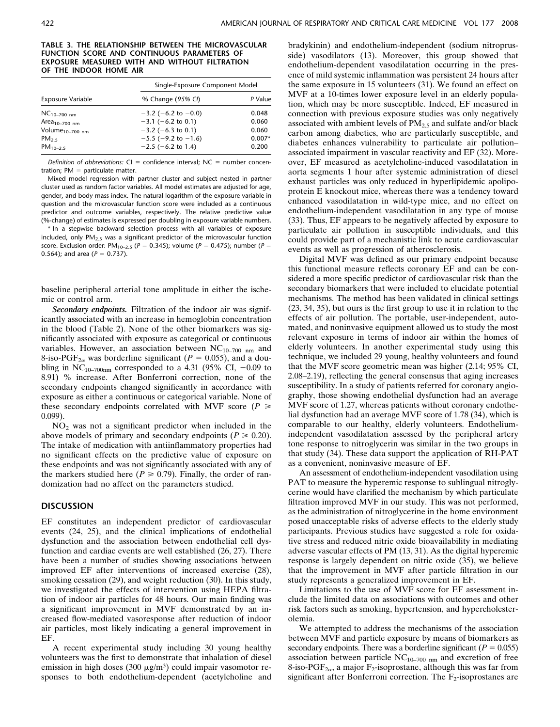#### TABLE 3. THE RELATIONSHIP BETWEEN THE MICROVASCULAR FUNCTION SCORE AND CONTINUOUS PARAMETERS OF EXPOSURE MEASURED WITH AND WITHOUT FILTRATION OF THE INDOOR HOME AIR

|                             | Single-Exposure Component Model |          |  |
|-----------------------------|---------------------------------|----------|--|
| Exposure Variable           | % Change (95% CI)               | P Value  |  |
| $NC_{10-700\;nm}$           | $-3.2$ (-6.2 to -0.0)           | 0.048    |  |
| Are $a_{10-700 \text{ nm}}$ | $-3.1$ (-6.2 to 0.1)            | 0.060    |  |
| Volume <sub>10-700 nm</sub> | $-3.2$ (-6.3 to 0.1)            | 0.060    |  |
| PM <sub>25</sub>            | $-5.5$ ( $-9.2$ to $-1.6$ )     | $0.007*$ |  |
| $PM_{10-2.5}$               | $-2.5$ ( $-6.2$ to 1.4)         | 0.200    |  |

Definition of abbreviations:  $CI =$  confidence interval; NC = number concentration:  $PM =$  particulate matter.

Mixed model regression with partner cluster and subject nested in partner cluster used as random factor variables. All model estimates are adjusted for age, gender, and body mass index. The natural logarithm of the exposure variable in question and the microvascular function score were included as a continuous predictor and outcome variables, respectively. The relative predictive value (%-change) of estimates is expressed per doubling in exposure variable numbers.

\* In a stepwise backward selection process with all variables of exposure included, only  $PM<sub>2.5</sub>$  was a significant predictor of the microvascular function score. Exclusion order:  $PM_{10-2.5}$  ( $P = 0.345$ ); volume ( $P = 0.475$ ); number ( $P =$ 0.564); and area ( $P = 0.737$ ).

baseline peripheral arterial tone amplitude in either the ischemic or control arm.

Secondary endpoints. Filtration of the indoor air was significantly associated with an increase in hemoglobin concentration in the blood (Table 2). None of the other biomarkers was significantly associated with exposure as categorical or continuous variables. However, an association between  $NC_{10-700 \text{ nm}}$  and 8-iso-PGF<sub>2 $\alpha$ </sub> was borderline significant ( $P = 0.055$ ), and a doubling in NC<sub>10–700nm</sub> corresponded to a 4.31 (95% CI,  $-0.09$  to 8.91) % increase. After Bonferroni correction, none of the secondary endpoints changed significantly in accordance with exposure as either a continuous or categorical variable. None of these secondary endpoints correlated with MVF score ( $P \ge$ 0.099).

 $NO<sub>2</sub>$  was not a significant predictor when included in the above models of primary and secondary endpoints ( $P \ge 0.20$ ). The intake of medication with antiinflammatory properties had no significant effects on the predictive value of exposure on these endpoints and was not significantly associated with any of the markers studied here ( $P \ge 0.79$ ). Finally, the order of randomization had no affect on the parameters studied.

## **DISCUSSION**

EF constitutes an independent predictor of cardiovascular events (24, 25), and the clinical implications of endothelial dysfunction and the association between endothelial cell dysfunction and cardiac events are well established (26, 27). There have been a number of studies showing associations between improved EF after interventions of increased exercise (28), smoking cessation (29), and weight reduction (30). In this study, we investigated the effects of intervention using HEPA filtration of indoor air particles for 48 hours. Our main finding was a significant improvement in MVF demonstrated by an increased flow-mediated vasoresponse after reduction of indoor air particles, most likely indicating a general improvement in EF.

A recent experimental study including 30 young healthy volunteers was the first to demonstrate that inhalation of diesel emission in high doses (300  $\mu$ g/m<sup>3</sup>) could impair vasomotor responses to both endothelium-dependent (acetylcholine and bradykinin) and endothelium-independent (sodium nitroprusside) vasodilators (13). Moreover, this group showed that endothelium-dependent vasodilatation occurring in the presence of mild systemic inflammation was persistent 24 hours after the same exposure in 15 volunteers (31). We found an effect on MVF at a 10-times lower exposure level in an elderly population, which may be more susceptible. Indeed, EF measured in connection with previous exposure studies was only negatively associated with ambient levels of  $PM<sub>2.5</sub>$  and sulfate and/or black carbon among diabetics, who are particularly susceptible, and diabetes enhances vulnerability to particulate air pollution– associated impairment in vascular reactivity and EF (32). Moreover, EF measured as acetylcholine-induced vasodilatation in aorta segments 1 hour after systemic administration of diesel exhaust particles was only reduced in hyperlipidemic apolipoprotein E knockout mice, whereas there was a tendency toward enhanced vasodilatation in wild-type mice, and no effect on endothelium-independent vasodilatation in any type of mouse (33). Thus, EF appears to be negatively affected by exposure to particulate air pollution in susceptible individuals, and this could provide part of a mechanistic link to acute cardiovascular events as well as progression of atherosclerosis.

Digital MVF was defined as our primary endpoint because this functional measure reflects coronary EF and can be considered a more specific predictor of cardiovascular risk than the secondary biomarkers that were included to elucidate potential mechanisms. The method has been validated in clinical settings (23, 34, 35), but ours is the first group to use it in relation to the effects of air pollution. The portable, user-independent, automated, and noninvasive equipment allowed us to study the most relevant exposure in terms of indoor air within the homes of elderly volunteers. In another experimental study using this technique, we included 29 young, healthy volunteers and found that the MVF score geometric mean was higher (2.14; 95% CI, 2.08–2.19), reflecting the general consensus that aging increases susceptibility. In a study of patients referred for coronary angiography, those showing endothelial dysfunction had an average MVF score of 1.27, whereas patients without coronary endothelial dysfunction had an average MVF score of 1.78 (34), which is comparable to our healthy, elderly volunteers. Endotheliumindependent vasodilatation assessed by the peripheral artery tone response to nitroglycerin was similar in the two groups in that study (34). These data support the application of RH-PAT as a convenient, noninvasive measure of EF.

An assessment of endothelium-independent vasodilation using PAT to measure the hyperemic response to sublingual nitroglycerine would have clarified the mechanism by which particulate filtration improved MVF in our study. This was not performed, as the administration of nitroglycerine in the home environment posed unacceptable risks of adverse effects to the elderly study participants. Previous studies have suggested a role for oxidative stress and reduced nitric oxide bioavailability in mediating adverse vascular effects of PM (13, 31). As the digital hyperemic response is largely dependent on nitric oxide (35), we believe that the improvement in MVF after particle filtration in our study represents a generalized improvement in EF.

Limitations to the use of MVF score for EF assessment include the limited data on associations with outcomes and other risk factors such as smoking, hypertension, and hypercholesterolemia.

We attempted to address the mechanisms of the association between MVF and particle exposure by means of biomarkers as secondary endpoints. There was a borderline significant ( $P = 0.055$ ) association between particle  $NC_{10-700 \text{ nm}}$  and excretion of free 8-iso-PGF<sub>2 $\alpha$ </sub>, a major F<sub>2</sub>-isoprostane, although this was far from significant after Bonferroni correction. The  $F_2$ -isoprostanes are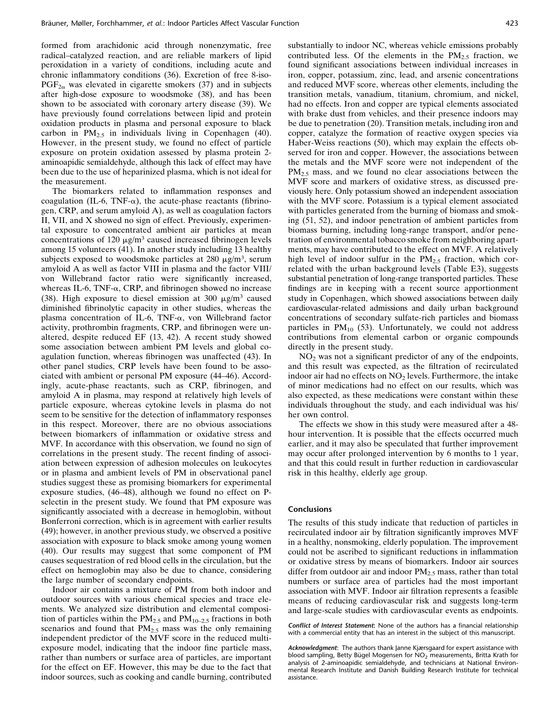formed from arachidonic acid through nonenzymatic, free radical–catalyzed reaction, and are reliable markers of lipid peroxidation in a variety of conditions, including acute and chronic inflammatory conditions (36). Excretion of free 8-iso- $PGF_{2\alpha}$  was elevated in cigarette smokers (37) and in subjects after high-dose exposure to woodsmoke (38), and has been shown to be associated with coronary artery disease (39). We have previously found correlations between lipid and protein oxidation products in plasma and personal exposure to black carbon in  $PM_{2.5}$  in individuals living in Copenhagen (40). However, in the present study, we found no effect of particle exposure on protein oxidation assessed by plasma protein 2 aminoapidic semialdehyde, although this lack of effect may have been due to the use of heparinized plasma, which is not ideal for the measurement.

The biomarkers related to inflammation responses and coagulation (IL-6, TNF- $\alpha$ ), the acute-phase reactants (fibrinogen, CRP, and serum amyloid A), as well as coagulation factors II, VII, and X showed no sign of effect. Previously, experimental exposure to concentrated ambient air particles at mean concentrations of 120  $\mu$ g/m<sup>3</sup> caused increased fibrinogen levels among 15 volunteers (41). In another study including 13 healthy subjects exposed to woodsmoke particles at  $280 \mu g/m^3$ , serum amyloid A as well as factor VIII in plasma and the factor VIII/ von Willebrand factor ratio were significantly increased, whereas IL-6, TNF- $\alpha$ , CRP, and fibrinogen showed no increase (38). High exposure to diesel emission at 300  $\mu$ g/m<sup>3</sup> caused diminished fibrinolytic capacity in other studies, whereas the plasma concentration of IL-6, TNF- $\alpha$ , von Willebrand factor activity, prothrombin fragments, CRP, and fibrinogen were unaltered, despite reduced EF (13, 42). A recent study showed some association between ambient PM levels and global coagulation function, whereas fibrinogen was unaffected (43). In other panel studies, CRP levels have been found to be associated with ambient or personal PM exposure (44–46). Accordingly, acute-phase reactants, such as CRP, fibrinogen, and amyloid A in plasma, may respond at relatively high levels of particle exposure, whereas cytokine levels in plasma do not seem to be sensitive for the detection of inflammatory responses in this respect. Moreover, there are no obvious associations between biomarkers of inflammation or oxidative stress and MVF. In accordance with this observation, we found no sign of correlations in the present study. The recent finding of association between expression of adhesion molecules on leukocytes or in plasma and ambient levels of PM in observational panel studies suggest these as promising biomarkers for experimental exposure studies, (46–48), although we found no effect on Pselectin in the present study. We found that PM exposure was significantly associated with a decrease in hemoglobin, without Bonferroni correction, which is in agreement with earlier results (49); however, in another previous study, we observed a positive association with exposure to black smoke among young women (40). Our results may suggest that some component of PM causes sequestration of red blood cells in the circulation, but the effect on hemoglobin may also be due to chance, considering the large number of secondary endpoints.

Indoor air contains a mixture of PM from both indoor and outdoor sources with various chemical species and trace elements. We analyzed size distribution and elemental composition of particles within the  $PM_{2.5}$  and  $PM_{10-2.5}$  fractions in both scenarios and found that  $PM<sub>2.5</sub>$  mass was the only remaining independent predictor of the MVF score in the reduced multiexposure model, indicating that the indoor fine particle mass, rather than numbers or surface area of particles, are important for the effect on EF. However, this may be due to the fact that indoor sources, such as cooking and candle burning, contributed substantially to indoor NC, whereas vehicle emissions probably contributed less. Of the elements in the  $PM_{2.5}$  fraction, we found significant associations between individual increases in iron, copper, potassium, zinc, lead, and arsenic concentrations and reduced MVF score, whereas other elements, including the transition metals, vanadium, titanium, chromium, and nickel, had no effects. Iron and copper are typical elements associated with brake dust from vehicles, and their presence indoors may be due to penetration (20). Transition metals, including iron and copper, catalyze the formation of reactive oxygen species via Haber-Weiss reactions (50), which may explain the effects observed for iron and copper. However, the associations between the metals and the MVF score were not independent of the  $PM<sub>2.5</sub>$  mass, and we found no clear associations between the MVF score and markers of oxidative stress, as discussed previously here. Only potassium showed an independent association with the MVF score. Potassium is a typical element associated with particles generated from the burning of biomass and smoking (51, 52), and indoor penetration of ambient particles from biomass burning, including long-range transport, and/or penetration of environmental tobacco smoke from neighboring apartments, may have contributed to the effect on MVF. A relatively high level of indoor sulfur in the  $PM_{2.5}$  fraction, which correlated with the urban background levels (Table E3), suggests substantial penetration of long-range transported particles. These findings are in keeping with a recent source apportionment study in Copenhagen, which showed associations between daily cardiovascular-related admissions and daily urban background concentrations of secondary sulfate-rich particles and biomass particles in  $PM_{10}$  (53). Unfortunately, we could not address contributions from elemental carbon or organic compounds directly in the present study.

 $NO<sub>2</sub>$  was not a significant predictor of any of the endpoints, and this result was expected, as the filtration of recirculated indoor air had no effects on  $NO<sub>2</sub>$  levels. Furthermore, the intake of minor medications had no effect on our results, which was also expected, as these medications were constant within these individuals throughout the study, and each individual was his/ her own control.

The effects we show in this study were measured after a 48 hour intervention. It is possible that the effects occurred much earlier, and it may also be speculated that further improvement may occur after prolonged intervention by 6 months to 1 year, and that this could result in further reduction in cardiovascular risk in this healthy, elderly age group.

#### Conclusions

The results of this study indicate that reduction of particles in recirculated indoor air by filtration significantly improves MVF in a healthy, nonsmoking, elderly population. The improvement could not be ascribed to significant reductions in inflammation or oxidative stress by means of biomarkers. Indoor air sources differ from outdoor air and indoor PM<sub>2.5</sub> mass, rather than total numbers or surface area of particles had the most important association with MVF. Indoor air filtration represents a feasible means of reducing cardiovascular risk and suggests long-term and large-scale studies with cardiovascular events as endpoints.

Conflict of Interest Statement: None of the authors has a financial relationship with a commercial entity that has an interest in the subject of this manuscript.

Acknowledgment: The authors thank Janne Kjærsgaard for expert assistance with blood sampling, Betty Bügel Mogensen for NO<sub>2</sub> measurements, Britta Krath for analysis of 2-aminoapidic semialdehyde, and technicians at National Environmental Research Institute and Danish Building Research Institute for technical assistance.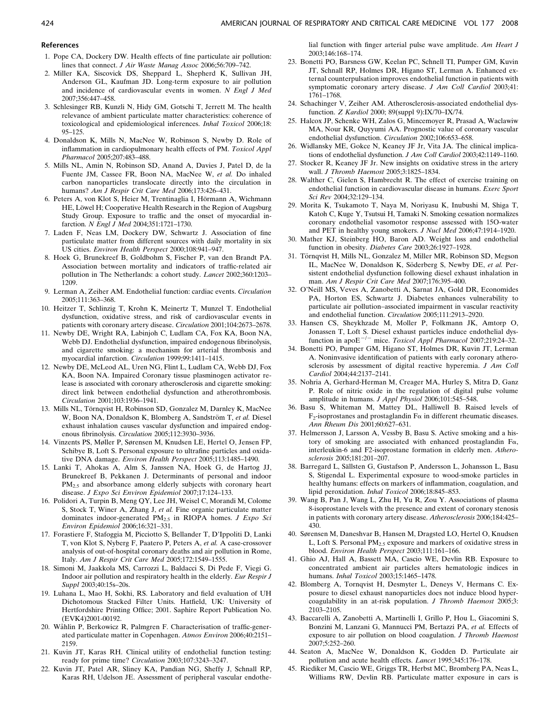#### References

- 1. Pope CA, Dockery DW. Health effects of fine particulate air pollution: lines that connect. J Air Waste Manag Assoc 2006;56:709–742.
- 2. Miller KA, Siscovick DS, Sheppard L, Shepherd K, Sullivan JH, Anderson GL, Kaufman JD. Long-term exposure to air pollution and incidence of cardiovascular events in women. N Engl J Med 2007;356:447–458.
- 3. Schlesinger RB, Kunzli N, Hidy GM, Gotschi T, Jerrett M. The health relevance of ambient particulate matter characteristics: coherence of toxicological and epidemiological inferences. Inhal Toxicol 2006;18: 95–125.
- 4. Donaldson K, Mills N, MacNee W, Robinson S, Newby D. Role of inflammation in cardiopulmonary health effects of PM. Toxicol Appl Pharmacol 2005;207:483–488.
- 5. Mills NL, Amin N, Robinson SD, Anand A, Davies J, Patel D, de la Fuente JM, Cassee FR, Boon NA, MacNee W, et al. Do inhaled carbon nanoparticles translocate directly into the circulation in humans? Am J Respir Crit Care Med 2006;173:426–431.
- 6. Peters A, von Klot S, Heier M, Trentinaglia I, Hörmann A, Wichmann HE, Löwel H; Cooperative Health Research in the Region of Augsburg Study Group. Exposure to traffic and the onset of myocardial infarction. N Engl J Med 2004;351:1721–1730.
- 7. Laden F, Neas LM, Dockery DW, Schwartz J. Association of fine particulate matter from different sources with daily mortality in six US cities. Environ Health Perspect 2000;108:941–947.
- 8. Hoek G, Brunekreef B, Goldbohm S, Fischer P, van den Brandt PA. Association between mortality and indicators of traffic-related air pollution in The Netherlands: a cohort study. Lancet 2002;360:1203– 1209.
- 9. Lerman A, Zeiher AM. Endothelial function: cardiac events. Circulation 2005;111:363–368.
- 10. Heitzer T, Schlinzig T, Krohn K, Meinertz T, Munzel T. Endothelial dysfunction, oxidative stress, and risk of cardiovascular events in patients with coronary artery disease. Circulation 2001;104:2673–2678.
- 11. Newby DE, Wright RA, Labinjoh C, Ludlam CA, Fox KA, Boon NA, Webb DJ. Endothelial dysfunction, impaired endogenous fibrinolysis, and cigarette smoking: a mechanism for arterial thrombosis and myocardial infarction. Circulation 1999;99:1411–1415.
- 12. Newby DE, McLeod AL, Uren NG, Flint L, Ludlam CA, Webb DJ, Fox KA, Boon NA. Impaired Coronary tissue plasminogen activator release is associated with coronary atherosclerosis and cigarette smoking: direct link between endothelial dysfunction and atherothrombosis. Circulation 2001;103:1936–1941.
- 13. Mills NL, Törnqvist H, Robinson SD, Gonzalez M, Darnley K, MacNee W, Boon NA, Donaldson K, Blomberg A, Sandström T, et al. Diesel exhaust inhalation causes vascular dysfunction and impaired endogenous fibrinolysis. Circulation 2005;112:3930–3936.
- 14. Vinzents PS, Møller P, Sørensen M, Knudsen LE, Hertel O, Jensen FP, Schibye B, Loft S. Personal exposure to ultrafine particles and oxidative DNA damage. Environ Health Perspect 2005;113:1485–1490.
- 15. Lanki T, Ahokas A, Alm S, Janssen NA, Hoek G, de Hartog JJ, Brunekreef B, Pekkanen J. Determinants of personal and indoor PM<sub>2.5</sub> and absorbance among elderly subjects with coronary heart disease. J Expo Sci Environ Epidemiol 2007;17:124–133.
- 16. Polidori A, Turpin B, Meng QY, Lee JH, Weisel C, Morandi M, Colome S, Stock T, Winer A, Zhang J, et al. Fine organic particulate matter dominates indoor-generated  $PM_{2.5}$  in RIOPA homes. J Expo Sci Environ Epidemiol 2006;16:321–331.
- 17. Forastiere F, Stafoggia M, Picciotto S, Bellander T, D'Ippoliti D, Lanki T, von Klot S, Nyberg F, Paatero P, Peters A, et al. A case-crossover analysis of out-of-hospital coronary deaths and air pollution in Rome, Italy. Am J Respir Crit Care Med 2005;172:1549–1555.
- 18. Simoni M, Jaakkola MS, Carrozzi L, Baldacci S, Di Pede F, Viegi G. Indoor air pollution and respiratory health in the elderly. Eur Respir J Suppl 2003;40:15s–20s.
- 19. Luhana L, Mao H, Sokhi, RS. Laboratory and field evaluation of UH Dichotomous Stacked Filter Units. Hatfield, UK: University of Hertfordshire Printing Office; 2001. Saphire Report Publication No. (EVK4)2001-00192.
- 20. Wåhlin P, Berkowicz R, Palmgren F. Characterisation of traffic-generated particulate matter in Copenhagen. Atmos Environ 2006;40:2151– 2159.
- 21. Kuvin JT, Karas RH. Clinical utility of endothelial function testing: ready for prime time? Circulation 2003;107:3243–3247.
- 22. Kuvin JT, Patel AR, Sliney KA, Pandian NG, Sheffy J, Schnall RP, Karas RH, Udelson JE. Assessment of peripheral vascular endothe-

lial function with finger arterial pulse wave amplitude. Am Heart J 2003;146:168–174.

- 23. Bonetti PO, Barsness GW, Keelan PC, Schnell TI, Pumper GM, Kuvin JT, Schnall RP, Holmes DR, Higano ST, Lerman A. Enhanced external counterpulsation improves endothelial function in patients with symptomatic coronary artery disease. J Am Coll Cardiol 2003;41: 1761–1768.
- 24. Schachinger V, Zeiher AM. Atherosclerosis-associated endothelial dysfunction. Z Kardiol 2000; 89(suppl 9):IX/70–IX/74.
- 25. Halcox JP, Schenke WH, Zalos G, Mincemoyer R, Prasad A, Waclawiw MA, Nour KR, Quyyumi AA. Prognostic value of coronary vascular endothelial dysfunction. Circulation 2002;106:653–658.
- 26. Widlansky ME, Gokce N, Keaney JF Jr, Vita JA. The clinical implications of endothelial dysfunction. J Am Coll Cardiol 2003;42:1149–1160.
- 27. Stocker R, Keaney JF Jr. New insights on oxidative stress in the artery wall. J Thromb Haemost 2005;3:1825–1834.
- 28. Walther C, Gielen S, Hambrecht R. The effect of exercise training on endothelial function in cardiovascular disease in humans. Exerc Sport Sci Rev 2004;32:129–134.
- 29. Morita K, Tsukamoto T, Naya M, Noriyasu K, Inubushi M, Shiga T, Katoh C, Kuge Y, Tsutsui H, Tamaki N. Smoking cessation normalizes coronary endothelial vasomotor response assessed with 15O-water and PET in healthy young smokers. J Nucl Med 2006;47:1914–1920.
- 30. Mather KJ, Steinberg HO, Baron AD. Weight loss and endothelial function in obesity. Diabetes Care 2003;26:1927–1928.
- 31. Törnqvist H, Mills NL, Gonzalez M, Miller MR, Robinson SD, Megson IL, MacNee W, Donaldson K, Söderberg S, Newby DE, et al. Persistent endothelial dysfunction following diesel exhaust inhalation in man. Am J Respir Crit Care Med 2007;176:395–400.
- 32. O'Neill MS, Veves A, Zanobetti A, Sarnat JA, Gold DR, Economides PA, Horton ES, Schwartz J. Diabetes enhances vulnerability to particulate air pollution–associated impairment in vascular reactivity and endothelial function. Circulation 2005;111:2913–2920.
- 33. Hansen CS, Sheykhzade M, Moller P, Folkmann JK, Amtorp O, Jonassen T, Loft S. Diesel exhaust particles induce endothelial dysfunction in apo $E^{-/-}$  mice. Toxicol Appl Pharmacol 2007;219:24-32.
- 34. Bonetti PO, Pumper GM, Higano ST, Holmes DR, Kuvin JT, Lerman A. Noninvasive identification of patients with early coronary atherosclerosis by assessment of digital reactive hyperemia. J Am Coll Cardiol 2004;44:2137–2141.
- 35. Nohria A, Gerhard-Herman M, Creager MA, Hurley S, Mitra D, Ganz P. Role of nitric oxide in the regulation of digital pulse volume amplitude in humans. J Appl Physiol 2006;101:545–548.
- 36. Basu S, Whiteman M, Mattey DL, Halliwell B. Raised levels of  $F_2$ -isoprostanes and prostaglandin  $F_{\alpha}$  in different rheumatic diseases. Ann Rheum Dis 2001;60:627–631.
- 37. Helmersson J, Larsson A, Vessby B, Basu S. Active smoking and a history of smoking are associated with enhanced prostaglandin Fa, interleukin-6 and F2-isoprostane formation in elderly men. Atherosclerosis 2005;181:201–207.
- 38. Barregard L, Sällsten G, Gustafson P, Andersson L, Johansson L, Basu S, Stigendal L. Experimental exposure to wood-smoke particles in healthy humans: effects on markers of inflammation, coagulation, and lipid peroxidation. Inhal Toxicol 2006;18:845–853.
- 39. Wang B, Pan J, Wang L, Zhu H, Yu R, Zou Y. Associations of plasma 8-isoprostane levels with the presence and extent of coronary stenosis in patients with coronary artery disease. Atherosclerosis 2006;184:425– 430.
- 40. Sørensen M, Daneshvar B, Hansen M, Dragsted LO, Hertel O, Knudsen L, Loft S. Personal  $PM<sub>2.5</sub>$  exposure and markers of oxidative stress in blood. Environ Health Perspect 2003;111:161–166.
- 41. Ghio AJ, Hall A, Bassett MA, Cascio WE, Devlin RB. Exposure to concentrated ambient air particles alters hematologic indices in humans. Inhal Toxicol 2003;15:1465–1478.
- 42. Blomberg A, Tornqvist H, Desmyter L, Deneys V, Hermans C. Exposure to diesel exhaust nanoparticles does not induce blood hypercoagulability in an at-risk population. J Thromb Haemost 2005;3: 2103–2105.
- 43. Baccarelli A, Zanobetti A, Martinelli I, Grillo P, Hou L, Giacomini S, Bonzini M, Lanzani G, Mannucci PM, Bertazzi PA, et al. Effects of exposure to air pollution on blood coagulation. J Thromb Haemost 2007;5:252–260.
- 44. Seaton A, MacNee W, Donaldson K, Godden D. Particulate air pollution and acute health effects. Lancet 1995;345:176–178.
- 45. Riediker M, Cascio WE, Griggs TR, Herbst MC, Bromberg PA, Neas L, Williams RW, Devlin RB. Particulate matter exposure in cars is